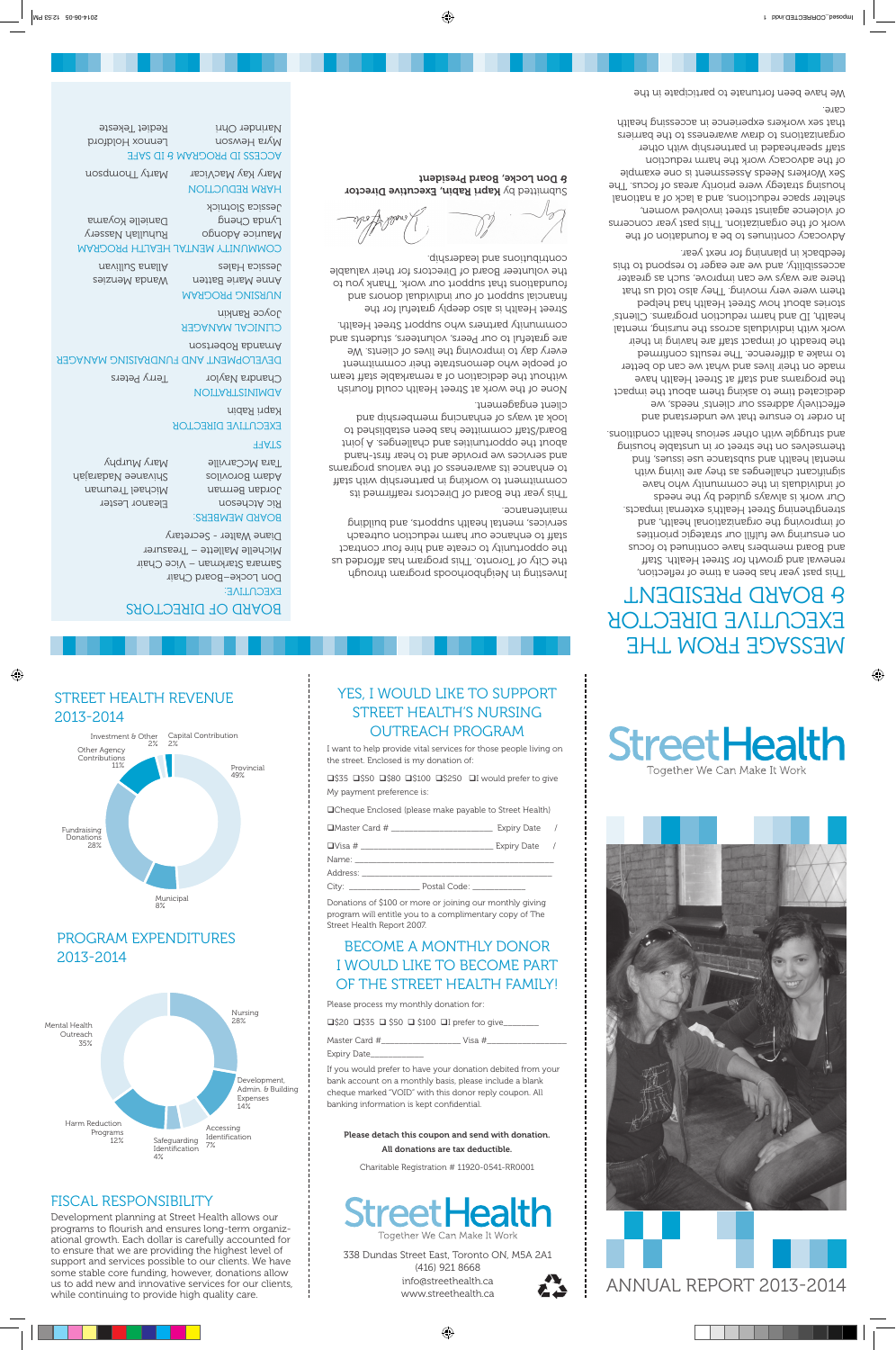## STREET HEALTH REVENUE 2013-2014 2013 - 2014



#### PROGRAM EXPENDITURES 2013-2014 PROTO POINT



#### FISCAL RESPONSIBILITY Programs

Development planning at Street Health allows our programs to flourish and ensures long-term organizational growth. Each dollar is carefully accounted for to ensure that we are providing the highest level of support and services possible to our clients. We have some stable core funding, however, donations allow us to add new and innovative services for our clients, while continuing to provide high quality care. Identification

## YES, I WOULD LIKE TO SUPPORT STREET HEALTH'S NURSING OUTREACH PROGRAM

I want to help provide vital services for those people living on the street. Enclosed is my donation of:

 $\square$ \$35  $\square$ \$50  $\square$ \$80  $\square$ \$100  $\square$ \$250  $\square$ I would prefer to give My payment preference is:

**QCheque Enclosed (please make payable to Street Health)** 

 $\Box$ Master Card # \_\_\_\_\_\_\_\_\_\_\_\_\_\_\_\_\_\_\_\_\_\_\_\_\_\_\_\_\_\_ Expiry Date /

 $\Box$ Visa #  $\Box$ 

Name: \_\_\_\_\_\_\_\_\_\_\_\_\_\_\_\_\_\_\_\_\_\_\_\_\_\_\_\_\_\_\_\_\_\_\_\_\_\_\_\_\_\_\_\_\_ Address:

City: \_\_\_\_\_\_\_\_\_\_\_\_\_\_\_\_ Postal Code: \_\_\_\_\_\_\_\_\_\_\_\_

Donations of \$100 or more or joining our monthly giving program will entitle you to a complimentary copy of The Street Health Report 2007.

## BECOME A MONTHLY DONOR I WOULD LIKE TO BECOME PART OF THE STREET HEALTH FAMILY!

Please process my monthly donation for:

 $\square$ \$20  $\square$ \$35  $\square$  \$50  $\square$  \$100  $\square$ I prefer to give



Expiry Date\_\_\_\_\_\_\_\_\_\_\_\_

Accessing

If you would prefer to have your donation debited from your bank account on a monthly basis, please include a blank cheque marked "VOID" with this donor reply coupon. All banking information is kept confidential.

Please detach this coupon and send with donation.

All donations are tax deductible.

Charitable Registration # 11920-0541-RR0001



338 Dundas Street East, Toronto ON, M5A 2A1 (416) 921 8668 info@streethealth.ca www.streethealth.ca



# **StreetHealth** Together We Can Make It Work



**Black BLACK PORT 2013-2014**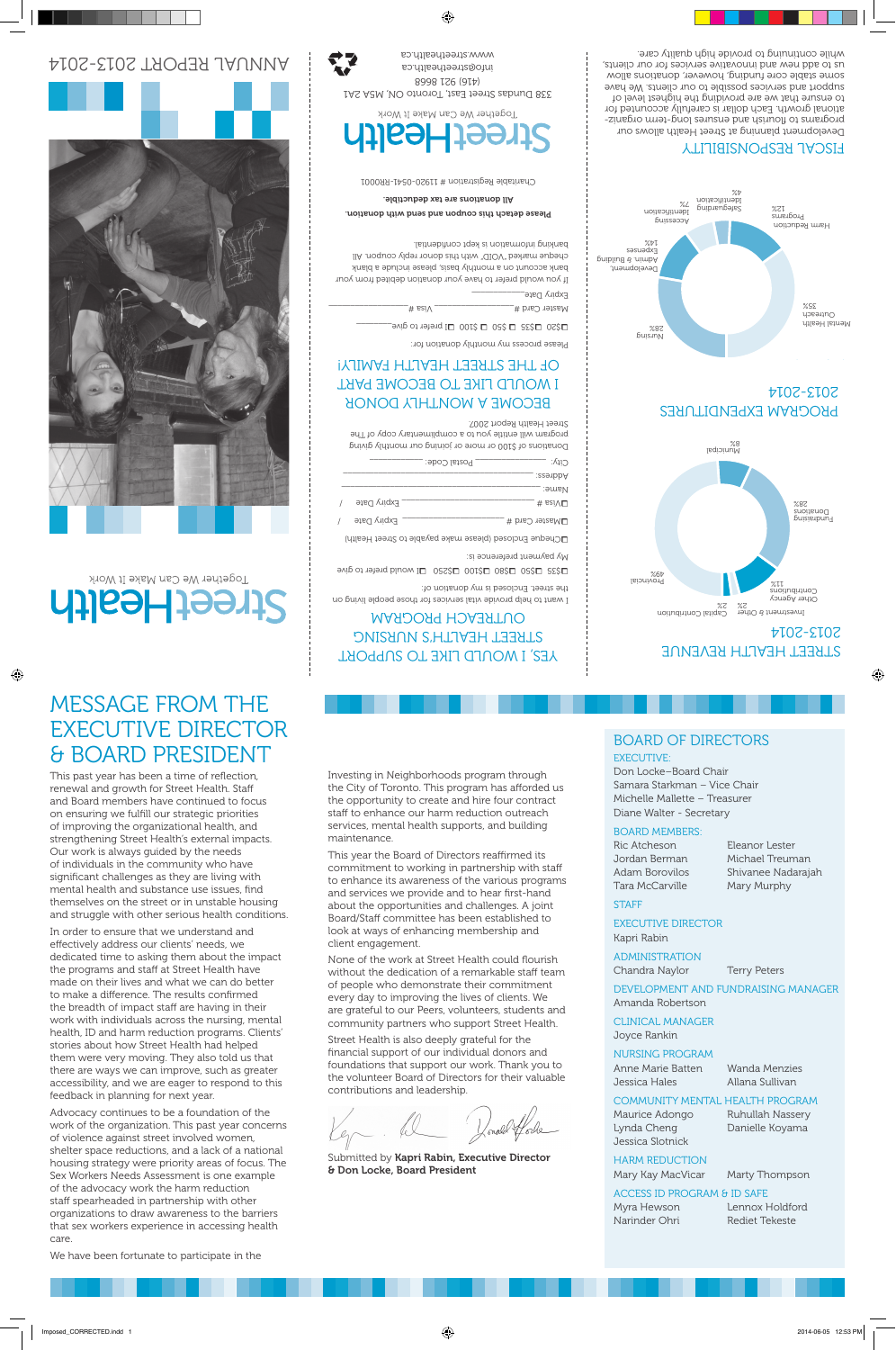# MESSAGE FROM THE EXECUTIVE DIRECTOR & BOARD PRESIDENT

This past year has been a time of reflection, renewal and growth for Street Health. Staff and Board members have continued to focus on ensuring we fulfill our strategic priorities of improving the organizational health, and strengthening Street Health's external impacts. Our work is always guided by the needs of individuals in the community who have significant challenges as they are living with mental health and substance use issues, find themselves on the street or in unstable housing and struggle with other serious health conditions.

In order to ensure that we understand and effectively address our clients' needs, we dedicated time to asking them about the impact the programs and staff at Street Health have made on their lives and what we can do better to make a difference. The results confirmed the breadth of impact staff are having in their work with individuals across the nursing, mental health, ID and harm reduction programs. Clients' stories about how Street Health had helped them were very moving. They also told us that there are ways we can improve, such as greater accessibility, and we are eager to respond to this feedback in planning for next year.

Advocacy continues to be a foundation of the work of the organization. This past year concerns of violence against street involved women, shelter space reductions, and a lack of a national housing strategy were priority areas of focus. The Sex Workers Needs Assessment is one example of the advocacy work the harm reduction staff spearheaded in partnership with other organizations to draw awareness to the barriers that sex workers experience in accessing health care.

Investing in Neighborhoods program through the City of Toronto. This program has afforded us the opportunity to create and hire four contract staff to enhance our harm reduction outreach stan to enhance our namineddellon oditedent<br>services, mental health supports, and building maintenance.

This year the Board of Directors reaffirmed its commitment to working in partnership with staff to enhance its awareness of the various programs and services we provide and to hear first-hand about the opportunities and challenges. A joint aboat the opportanties and challenged. A joint bodid, stair committee has been established<br>look at ways of enhancing membership and client engagement.

None of the work at Street Health could flourish without the dedication of a remarkable staff team miniour the dedication of a remaindable standed<br>of people who demonstrate their commitment every day to improving the lives of clients. We are grateful to our Peers, volunteers, students and community partners who support Street Health.

Street Health is also deeply grateful for the financial support of our individual donors and foundations that support our work. Thank you to the volunteer Board of Directors for their valuable contributions and leadership.

Submitted by Kapri Rabin, Executive Director & Don Locke, Board President

### BOARD OF DIRECTORS EXECUTIVE:

Don Locke–Board Chair Samara Starkman – Vice Chair Michelle Mallette – Treasurer Diane Walter - Secretary

#### BOARD MEMBERS:

Ric Atcheson Eleanor Lester Tara McCarville Mary Murphy

Jordan Berman Michael Treuman Adam Borovilos Shivanee Nadarajah

#### **STAFF**

EXECUTIVE DIRECTOR Kapri Rabin

ADMINISTRATION Chandra Naylor Terry Peters

DEVELOPMENT AND FUNDRAISING MANAGER Amanda Robertson Nursing

#### CLINICAL MANAGER

Joyce Rankin

#### NURSING PROGRAM

Anne Marie Batten Wanda Menzies Jessica Hales Allana Sullivan

#### COMMUNITY MENTAL HEALTH PROGRAM

Lynda Cheng Danielle Koyama Jessica Slotnick

Maurice Adongo Ruhullah Nassery

HARM REDUCTION

Mary Kay MacVicar Marty Thompson

#### ACCESS ID PROGRAM & ID SAFE

Myra Hewson Lennox Holdford Narinder Ohri Rediet Tekeste

We have been fortunate to participate in the